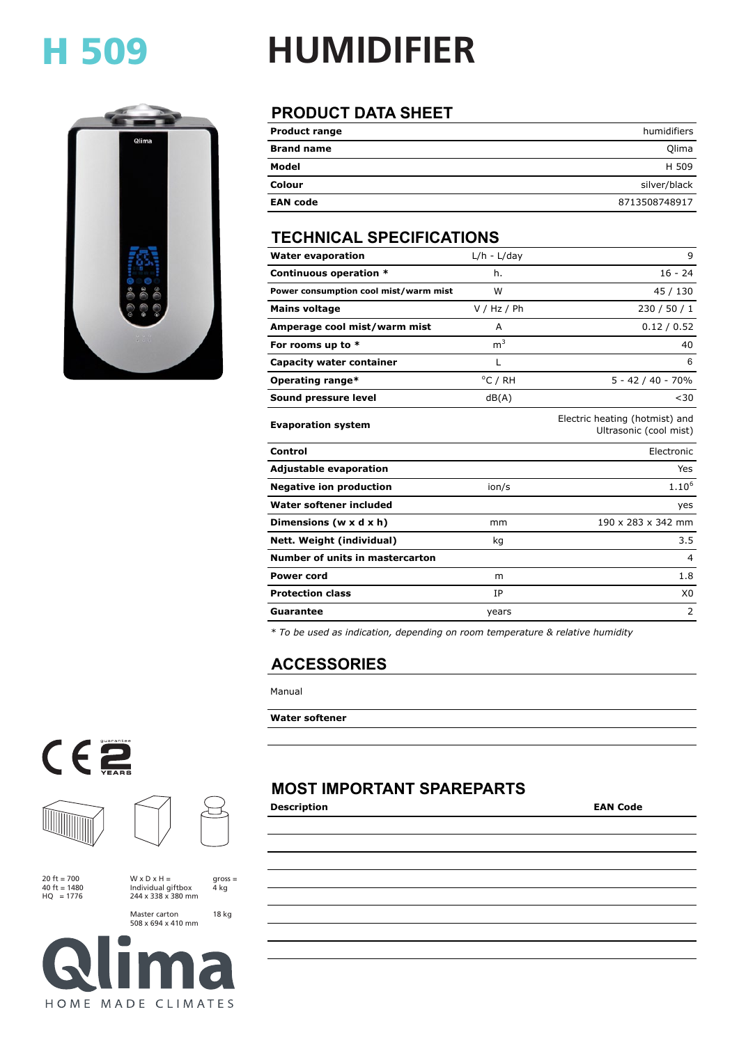### H 509



# **HUMIDIFIER**

### **PRODUCT DATA SHEET**

| <b>Product range</b> | humidifiers   |
|----------------------|---------------|
| <b>Brand name</b>    | Olima         |
| Model                | H 509         |
| Colour               | silver/black  |
| <b>EAN code</b>      | 8713508748917 |

#### **TECHNICAL SPECIFICATIONS**

| <b>Water evaporation</b>              | $L/h - L/day$  | 9                                                        |
|---------------------------------------|----------------|----------------------------------------------------------|
| Continuous operation *                | h.             | $16 - 24$                                                |
| Power consumption cool mist/warm mist | W              | 45 / 130                                                 |
| <b>Mains voltage</b>                  | V / Hz / Ph    | 230 / 50 / 1                                             |
| Amperage cool mist/warm mist          | A              | 0.12 / 0.52                                              |
| For rooms up to *                     | m <sup>3</sup> | 40                                                       |
| Capacity water container              | L              | 6                                                        |
| Operating range*                      | °C / RH        | $5 - 42 / 40 - 70%$                                      |
| Sound pressure level                  | dB(A)          | $30$                                                     |
| <b>Evaporation system</b>             |                | Electric heating (hotmist) and<br>Ultrasonic (cool mist) |
| Control                               |                | Electronic                                               |
| <b>Adjustable evaporation</b>         |                | Yes                                                      |
| <b>Negative ion production</b>        | ion/s          | $1.10^{6}$                                               |
| Water softener included               |                | yes                                                      |
| Dimensions ( $w \times d \times h$ )  | mm             | 190 x 283 x 342 mm                                       |
| Nett. Weight (individual)             | kq             | 3.5                                                      |
| Number of units in mastercarton       |                | 4                                                        |
| <b>Power cord</b>                     | m              | 1.8                                                      |
| <b>Protection class</b>               | IP             | X <sub>0</sub>                                           |
| <b>Guarantee</b>                      | years          | 2                                                        |

*\* To be used as indication, depending on room temperature & relative humidity*

#### **ACCESSORIES**

Manual

#### **Water softener**

#### **MOST IMPORTANT SPAREPARTS**

**Description EAN Code**





20  $ft = 700$ 40 ft = 1480 HQ = 1776

 $W \times D \times H =$ 

Individual giftbox 244 x 338 x 380 mm

gross = 4 kg